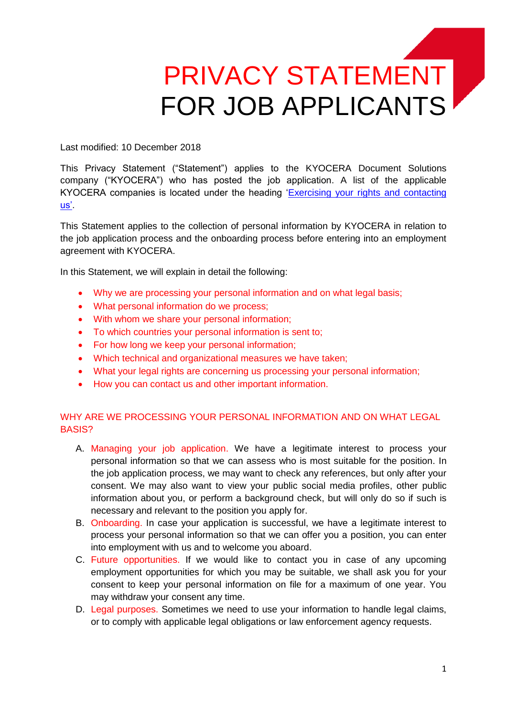# PRIVACY STATEMENT FOR JOB APPLICANTS

Last modified: 10 December 2018

This Privacy Statement ("Statement") applies to the KYOCERA Document Solutions company ("KYOCERA") who has posted the job application. A list of the applicable KYOCERA companies is located under the heading ['Exercising your rights and contacting](#page-4-0)  [us'.](#page-4-0)

This Statement applies to the collection of personal information by KYOCERA in relation to the job application process and the onboarding process before entering into an employment agreement with KYOCERA.

In this Statement, we will explain in detail the following:

- Why we [are processing your personal information](#page-0-0) and on what legal basis;
- What personal information do we process;
- [With whom we share your personal information;](#page-1-0)
- [To which countries your personal information is sent to;](#page-1-1)
- [For how long we keep your personal information;](#page-2-0)
- [Which technical and organizational measures](#page-3-0) we have taken;
- [What your legal rights are concerning us processing your personal information;](#page-3-1)
- [How you can contact us and other important information.](#page-4-0)

# <span id="page-0-0"></span>WHY ARE WE PROCESSING YOUR PERSONAL INFORMATION AND ON WHAT LEGAL BASIS?

- A. Managing your job application. We have a legitimate interest to process your personal information so that we can assess who is most suitable for the position. In the job application process, we may want to check any references, but only after your consent. We may also want to view your public social media profiles, other public information about you, or perform a background check, but will only do so if such is necessary and relevant to the position you apply for.
- B. Onboarding. In case your application is successful, we have a legitimate interest to process your personal information so that we can offer you a position, you can enter into employment with us and to welcome you aboard.
- C. Future opportunities. If we would like to contact you in case of any upcoming employment opportunities for which you may be suitable, we shall ask you for your consent to keep your personal information on file for a maximum of one year. You may withdraw your consent any time.
- D. Legal purposes. Sometimes we need to use your information to handle legal claims, or to comply with applicable legal obligations or law enforcement agency requests.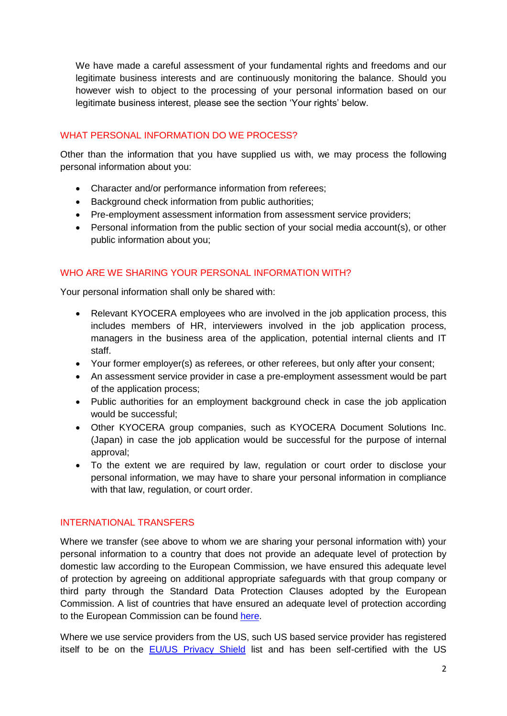We have made a careful assessment of your fundamental rights and freedoms and our legitimate business interests and are continuously monitoring the balance. Should you however wish to object to the processing of your personal information based on our legitimate business interest, please see the section 'Your rights' below.

#### <span id="page-1-0"></span>WHAT PERSONAL INFORMATION DO WE PROCESS?

Other than the information that you have supplied us with, we may process the following personal information about you:

- Character and/or performance information from referees;
- Background check information from public authorities:
- Pre-employment assessment information from assessment service providers;
- Personal information from the public section of your social media account(s), or other public information about you;

# WHO ARE WE SHARING YOUR PERSONAL INFORMATION WITH?

Your personal information shall only be shared with:

- Relevant KYOCERA employees who are involved in the job application process, this includes members of HR, interviewers involved in the job application process, managers in the business area of the application, potential internal clients and IT staff.
- Your former employer(s) as referees, or other referees, but only after your consent;
- An assessment service provider in case a pre-employment assessment would be part of the application process;
- Public authorities for an employment background check in case the job application would be successful;
- Other KYOCERA group companies, such as KYOCERA Document Solutions Inc. (Japan) in case the job application would be successful for the purpose of internal approval;
- To the extent we are required by law, regulation or court order to disclose your personal information, we may have to share your personal information in compliance with that law, regulation, or court order.

# <span id="page-1-1"></span>INTERNATIONAL TRANSFERS

Where we transfer (see above to whom we are sharing your personal information with) your personal information to a country that does not provide an adequate level of protection by domestic law according to the European Commission, we have ensured this adequate level of protection by agreeing on additional appropriate safeguards with that group company or third party through the Standard Data Protection Clauses adopted by the European Commission. A list of countries that have ensured an adequate level of protection according to the European Commission can be found [here.](http://ec.europa.eu/justice/data-protection/international-transfers/adequacy/index_en.htm)

Where we use service providers from the US, such US based service provider has registered itself to be on the [EU/US Privacy Shield](https://www.privacyshield.gov/welcome) list and has been self-certified with the US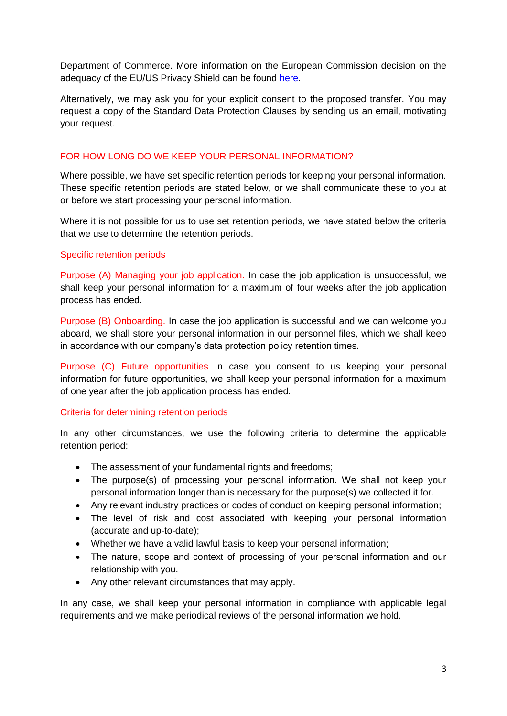Department of Commerce. More information on the European Commission decision on the adequacy of the EU/US Privacy Shield can be found [here.](https://ec.europa.eu/info/law/law-topic/data-protection/data-transfers-outside-eu/eu-us-privacy-shield_en)

Alternatively, we may ask you for your explicit consent to the proposed transfer. You may request a copy of the Standard Data Protection Clauses by sending us an email, motivating your request.

# <span id="page-2-0"></span>FOR HOW LONG DO WE KEEP YOUR PERSONAL INFORMATION?

Where possible, we have set specific retention periods for keeping your personal information. These specific retention periods are stated below, or we shall communicate these to you at or before we start processing your personal information.

Where it is not possible for us to use set retention periods, we have stated below the criteria that we use to determine the retention periods.

#### Specific retention periods

Purpose (A) Managing your job application. In case the job application is unsuccessful, we shall keep your personal information for a maximum of four weeks after the job application process has ended.

Purpose (B) Onboarding. In case the job application is successful and we can welcome you aboard, we shall store your personal information in our personnel files, which we shall keep in accordance with our company's data protection policy retention times.

Purpose (C) Future opportunities In case you consent to us keeping your personal information for future opportunities, we shall keep your personal information for a maximum of one year after the job application process has ended.

# Criteria for determining retention periods

In any other circumstances, we use the following criteria to determine the applicable retention period:

- The assessment of your fundamental rights and freedoms;
- The purpose(s) of processing your personal information. We shall not keep your personal information longer than is necessary for the purpose(s) we collected it for.
- Any relevant industry practices or codes of conduct on keeping personal information;
- The level of risk and cost associated with keeping your personal information (accurate and up-to-date);
- Whether we have a valid lawful basis to keep your personal information;
- The nature, scope and context of processing of your personal information and our relationship with you.
- Any other relevant circumstances that may apply.

In any case, we shall keep your personal information in compliance with applicable legal requirements and we make periodical reviews of the personal information we hold.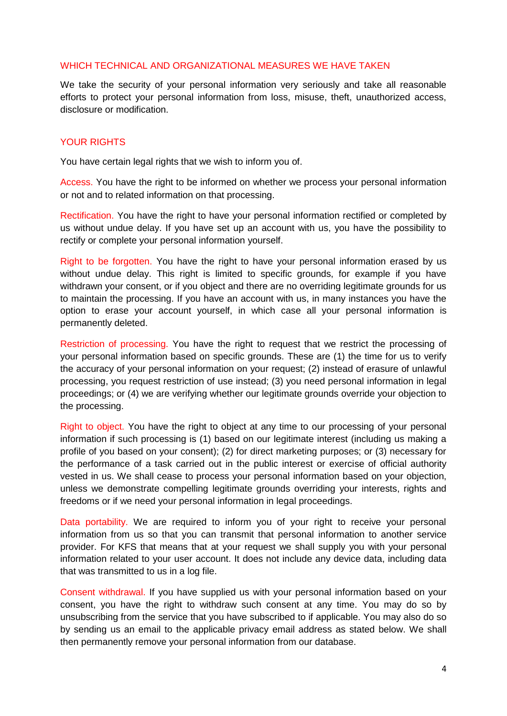#### <span id="page-3-0"></span>WHICH TECHNICAL AND ORGANIZATIONAL MEASURES WE HAVE TAKEN

We take the security of your personal information very seriously and take all reasonable efforts to protect your personal information from loss, misuse, theft, unauthorized access, disclosure or modification.

#### <span id="page-3-1"></span>YOUR RIGHTS

You have certain legal rights that we wish to inform you of.

Access. You have the right to be informed on whether we process your personal information or not and to related information on that processing.

Rectification. You have the right to have your personal information rectified or completed by us without undue delay. If you have set up an account with us, you have the possibility to rectify or complete your personal information yourself.

Right to be forgotten. You have the right to have your personal information erased by us without undue delay. This right is limited to specific grounds, for example if you have withdrawn your consent, or if you object and there are no overriding legitimate grounds for us to maintain the processing. If you have an account with us, in many instances you have the option to erase your account yourself, in which case all your personal information is permanently deleted.

Restriction of processing. You have the right to request that we restrict the processing of your personal information based on specific grounds. These are (1) the time for us to verify the accuracy of your personal information on your request; (2) instead of erasure of unlawful processing, you request restriction of use instead; (3) you need personal information in legal proceedings; or (4) we are verifying whether our legitimate grounds override your objection to the processing.

Right to object. You have the right to object at any time to our processing of your personal information if such processing is (1) based on our legitimate interest (including us making a profile of you based on your consent); (2) for direct marketing purposes; or (3) necessary for the performance of a task carried out in the public interest or exercise of official authority vested in us. We shall cease to process your personal information based on your objection, unless we demonstrate compelling legitimate grounds overriding your interests, rights and freedoms or if we need your personal information in legal proceedings.

Data portability. We are required to inform you of your right to receive your personal information from us so that you can transmit that personal information to another service provider. For KFS that means that at your request we shall supply you with your personal information related to your user account. It does not include any device data, including data that was transmitted to us in a log file.

Consent withdrawal. If you have supplied us with your personal information based on your consent, you have the right to withdraw such consent at any time. You may do so by unsubscribing from the service that you have subscribed to if applicable. You may also do so by sending us an email to the applicable privacy email address as stated below. We shall then permanently remove your personal information from our database.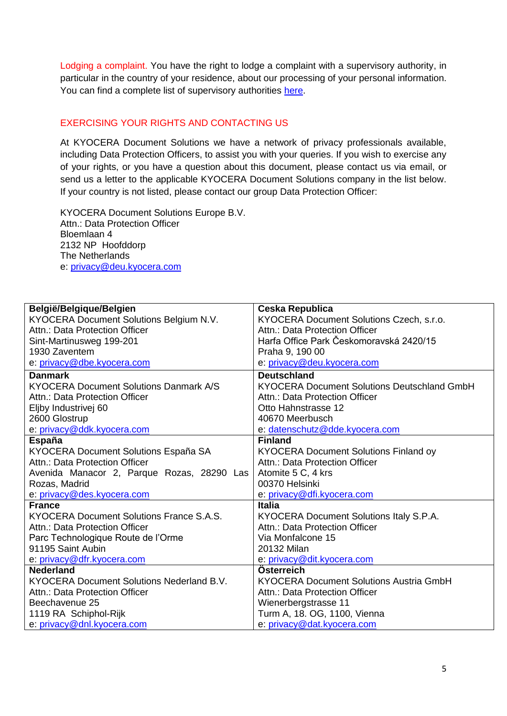Lodging a complaint. You have the right to lodge a complaint with a supervisory authority, in particular in the country of your residence, about our processing of your personal information. You can find a complete list of supervisory authorities [here.](https://ec.europa.eu/info/law/law-topic/data-protection/data-protection-eu_en#dataprotectionauthorities)

# <span id="page-4-0"></span>EXERCISING YOUR RIGHTS AND CONTACTING US

At KYOCERA Document Solutions we have a network of privacy professionals available, including Data Protection Officers, to assist you with your queries. If you wish to exercise any of your rights, or you have a question about this document, please contact us via email, or send us a letter to the applicable KYOCERA Document Solutions company in the list below. If your country is not listed, please contact our group Data Protection Officer:

KYOCERA Document Solutions Europe B.V. Attn.: Data Protection Officer Bloemlaan 4 2132 NP Hoofddorp The Netherlands e: [privacy@deu.kyocera.com](mailto:privacy@deu.kyocera.com)

| België/Belgique/Belgien                       | Ceska Republica                                    |
|-----------------------------------------------|----------------------------------------------------|
| KYOCERA Document Solutions Belgium N.V.       | KYOCERA Document Solutions Czech, s.r.o.           |
| Attn.: Data Protection Officer                | Attn.: Data Protection Officer                     |
| Sint-Martinusweg 199-201                      | Harfa Office Park Českomoravská 2420/15            |
| 1930 Zaventem                                 | Praha 9, 190 00                                    |
| e: privacy@dbe.kyocera.com                    | e: privacy@deu.kyocera.com                         |
| <b>Danmark</b>                                | <b>Deutschland</b>                                 |
| <b>KYOCERA Document Solutions Danmark A/S</b> | <b>KYOCERA Document Solutions Deutschland GmbH</b> |
| Attn.: Data Protection Officer                | Attn.: Data Protection Officer                     |
| Eljby Industrivej 60                          | Otto Hahnstrasse 12                                |
| 2600 Glostrup                                 | 40670 Meerbusch                                    |
| e: privacy@ddk.kyocera.com                    | e: datenschutz@dde.kyocera.com                     |
| <b>España</b>                                 | <b>Finland</b>                                     |
| KYOCERA Document Solutions España SA          | <b>KYOCERA Document Solutions Finland oy</b>       |
| Attn.: Data Protection Officer                | Attn.: Data Protection Officer                     |
| Avenida Manacor 2, Parque Rozas, 28290 Las    | Atomite 5 C, 4 krs                                 |
| Rozas, Madrid                                 | 00370 Helsinki                                     |
| e: privacy@des.kyocera.com                    | e: privacy@dfi.kyocera.com                         |
| <b>France</b>                                 | <b>Italia</b>                                      |
| KYOCERA Document Solutions France S.A.S.      | KYOCERA Document Solutions Italy S.P.A.            |
| Attn.: Data Protection Officer                | Attn.: Data Protection Officer                     |
| Parc Technologique Route de l'Orme            | Via Monfalcone 15                                  |
| 91195 Saint Aubin                             | 20132 Milan                                        |
| e: privacy@dfr.kyocera.com                    | e: privacy@dit.kyocera.com                         |
| <b>Nederland</b>                              | Österreich                                         |
| KYOCERA Document Solutions Nederland B.V.     | <b>KYOCERA Document Solutions Austria GmbH</b>     |
| Attn.: Data Protection Officer                | Attn.: Data Protection Officer                     |
| Beechavenue 25                                | Wienerbergstrasse 11                               |
| 1119 RA Schiphol-Rijk                         | Turm A, 18. OG, 1100, Vienna                       |
| e: privacy@dnl.kyocera.com                    | e: privacy@dat.kyocera.com                         |